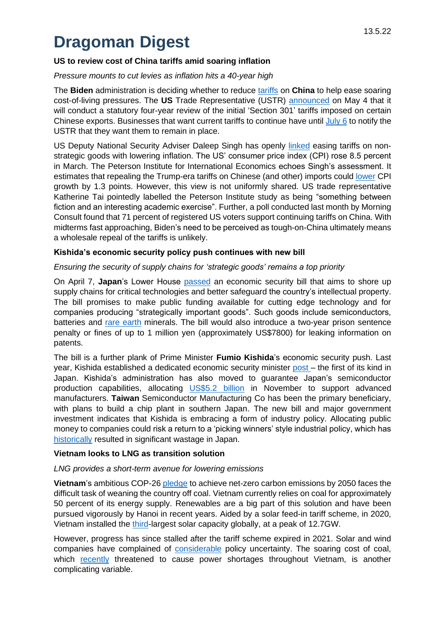# **Dragoman Digest**

## **US to review cost of China tariffs amid soaring inflation**

*Pressure mounts to cut levies as inflation hits a 40-year high*

The **Biden** administration is deciding whether to reduce [tariffs](https://asia.nikkei.com/Economy/Trade-war/U.S.-starts-review-of-China-tariffs-as-inflation-looms) on **China** to help ease soaring cost-of-living pressures. The **US** Trade Representative (USTR) [announced](https://www.reuters.com/world/us/ustr-tai-says-china-tariff-review-will-have-robust-industry-consultations-2022-05-05/) on May 4 that it will conduct a statutory four-year review of the initial 'Section 301' tariffs imposed on certain Chinese exports. Businesses that want current tariffs to continue have until  $July 6$  to notify the USTR that they want them to remain in place.

US Deputy National Security Adviser Daleep Singh has openly [linked](file:///C:/Users/DarcyBrumpton/AppData/Local/Microsoft/Windows/INetCache/Content.Outlook/9K673RIK/o%09https:/www.reuters.com/business/white-house-adviser-singh-suggests-us-could-lower-tariffs-chinese-goods-2022-04-21/) easing tariffs on nonstrategic goods with lowering inflation. The US' consumer price index (CPI) rose 8.5 percent in March. The Peterson Institute for International Economics echoes Singh's assessment. It estimates that repealing the Trump-era tariffs on Chinese (and other) imports could [lower](https://www.scmp.com/news/china/article/3176420/us-trade-office-says-it-has-begun-process-whether-lift-tariffs-chinese) CPI growth by 1.3 points. However, this view is not uniformly shared. US trade representative Katherine Tai pointedly labelled the Peterson Institute study as being "something between fiction and an interesting academic exercise". Further, a poll conducted last month by Morning Consult found that 71 percent of registered US voters support continuing tariffs on China. With midterms fast approaching, Biden's need to be perceived as tough-on-China ultimately means a wholesale repeal of the tariffs is unlikely.

## **Kishida's economic security policy push continues with new bill**

## *Ensuring the security of supply chains for 'strategic goods' remains a top priority*

On April 7, **Japan**'s Lower House [passed](https://www.japantimes.co.jp/news/2022/05/11/business/japan-passes-economic-security-bill-protect-sensitive-technology/) an economic security bill that aims to shore up supply chains for critical technologies and better safeguard the country's intellectual property. The bill promises to make public funding available for cutting edge technology and for companies producing "strategically important goods". Such goods include semiconductors, batteries and [rare earth](https://www.japantimes.co.jp/news/2022/04/07/national/politics-diplomacy/economic-security-bill-lower-house/) minerals. The bill would also introduce a two-year prison sentence penalty or fines of up to 1 million yen (approximately US\$7800) for leaking information on patents.

The bill is a further plank of Prime Minister **Fumio Kishida**'s economic security push. Last year, Kishida established a dedicated economic security minister [post](https://thediplomat.com/2021/10/japan-pm-kishidas-new-ministry-and-the-legacy-of-abenomics/) – the first of its kind in Japan. Kishida's administration has also moved to guarantee Japan's semiconductor production capabilities, allocating [US\\$5.2 billion](https://asia.nikkei.com/Business/Tech/Semiconductors/Japan-allocates-5.2bn-to-fund-chip-plants-by-TSMC-and-others) in November to support advanced manufacturers. **Taiwan** Semiconductor Manufacturing Co has been the primary beneficiary, with plans to build a chip plant in southern Japan. The new bill and major government investment indicates that Kishida is embracing a form of industry policy. Allocating public money to companies could risk a return to a 'picking winners' style industrial policy, which has [historically](https://www.forbes.com/sites/stuartanderson/2021/11/10/research-finds-us-shouldnt-imitate-japans-industrial-policy/?sh=758f59b17f10) resulted in significant wastage in Japan.

## **Vietnam looks to LNG as transition solution**

#### *LNG provides a short-term avenue for lowering emissions*

**Vietnam**'s ambitious COP-26 [pledge](https://www.scmp.com/week-asia/economics/article/3176844/after-cop26-pledge-can-vietnam-revive-flagging-wind-solar) to achieve net-zero carbon emissions by 2050 faces the difficult task of weaning the country off coal. Vietnam currently relies on coal for approximately 50 percent of its energy supply. Renewables are a big part of this solution and have been pursued vigorously by Hanoi in recent years. Aided by a solar feed-in tariff scheme, in 2020, Vietnam installed the [third-](https://www.scmp.com/week-asia/economics/article/3176844/after-cop26-pledge-can-vietnam-revive-flagging-wind-solar)largest solar capacity globally, at a peak of 12.7GW.

However, progress has since stalled after the tariff scheme expired in 2021. Solar and wind companies have complained of [considerable](https://www.scmp.com/week-asia/economics/article/3176844/after-cop26-pledge-can-vietnam-revive-flagging-wind-solar) policy uncertainty. The soaring cost of coal, which [recently](file:///C:/Users/HenryStorey/AppData/Local/Microsoft/Windows/INetCache/Content.Outlook/8MRBV8F3/•%09https:/asia.nikkei.com/Business/Energy/Vietnam-s-power-supply-under-strain-from-high-coal-prices) threatened to cause power shortages throughout Vietnam, is another complicating variable.